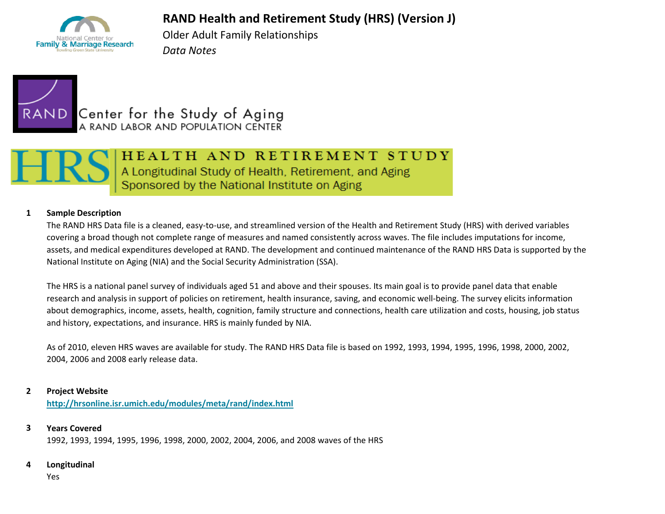## **RAND Health and Retirement Study (HRS) (Version J)**



Older Adult Family Relationships *Data Notes*





# HEALTH AND RETIREMENT STUDY

A Longitudinal Study of Health, Retirement, and Aging<br>Sponsored by the National Institute on Aging

#### **1 Sample Description**

The RAND HRS Data file is a cleaned, easy-to-use, and streamlined version of the Health and Retirement Study (HRS) with derived variables covering a broad though not complete range of measures and named consistently across waves. The file includes imputations for income, assets, and medical expenditures developed at RAND. The development and continued maintenance of the RAND HRS Data is supported by the National Institute on Aging (NIA) and the Social Security Administration (SSA).

The HRS is a national panel survey of individuals aged 51 and above and their spouses. Its main goal is to provide panel data that enable research and analysis in support of policies on retirement, health insurance, saving, and economic well-being. The survey elicits information about demographics, income, assets, health, cognition, family structure and connections, health care utilization and costs, housing, job status and history, expectations, and insurance. HRS is mainly funded by NIA.

As of 2010, eleven HRS waves are available for study. The RAND HRS Data file is based on 1992, 1993, 1994, 1995, 1996, 1998, 2000, 2002, 2004, 2006 and 2008 early release data.

#### **2 Project Website**

**<http://hrsonline.isr.umich.edu/modules/meta/rand/index.html>**

#### **3 Years Covered**

1992, 1993, 1994, 1995, 1996, 1998, 2000, 2002, 2004, 2006, and 2008 waves of the HRS

#### **4 Longitudinal**

Yes